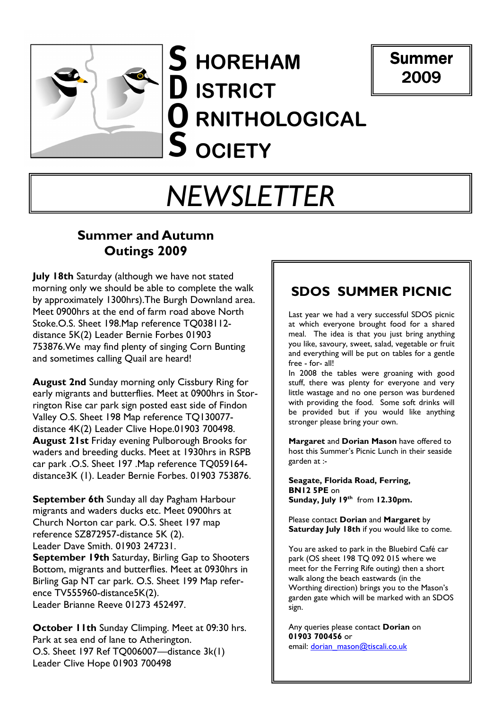

S HOREHAM D ISTRICT  $\mathbf 0$  RNITHOLOGICAL  ${\mathsf S}$  ociety



# NEWSLETTER

## Summer and Autumn Outings 2009

**July 18th Saturday (although we have not stated** morning only we should be able to complete the walk by approximately 1300hrs).The Burgh Downland area. Meet 0900hrs at the end of farm road above North Stoke.O.S. Sheet 198.Map reference TQ038112 distance 5K(2) Leader Bernie Forbes 01903 753876.We may find plenty of singing Corn Bunting and sometimes calling Quail are heard!

August 2nd Sunday morning only Cissbury Ring for early migrants and butterflies. Meet at 0900hrs in Storrington Rise car park sign posted east side of Findon Valley O.S. Sheet 198 Map reference TQ130077 distance 4K(2) Leader Clive Hope.01903 700498. August 21st Friday evening Pulborough Brooks for waders and breeding ducks. Meet at 1930hrs in RSPB car park .O.S. Sheet 197 .Map reference TQ059164 distance3K (1). Leader Bernie Forbes. 01903 753876.

September 6th Sunday all day Pagham Harbour migrants and waders ducks etc. Meet 0900hrs at Church Norton car park. O.S. Sheet 197 map reference SZ872957-distance 5K (2). Leader Dave Smith. 01903 247231. September 19th Saturday, Birling Gap to Shooters Bottom, migrants and butterflies. Meet at 0930hrs in Birling Gap NT car park. O.S. Sheet 199 Map reference TV555960-distance5K(2). Leader Brianne Reeve 01273 452497.

**October 11th Sunday Climping. Meet at 09:30 hrs.** Park at sea end of lane to Atherington. O.S. Sheet 197 Ref TQ006007—distance 3k(1) Leader Clive Hope 01903 700498

## SDOS SUMMER PICNIC

Last year we had a very successful SDOS picnic at which everyone brought food for a shared meal. The idea is that you just bring anything you like, savoury, sweet, salad, vegetable or fruit and everything will be put on tables for a gentle free - for- all!

In 2008 the tables were groaning with good stuff, there was plenty for everyone and very little wastage and no one person was burdened with providing the food. Some soft drinks will be provided but if you would like anything stronger please bring your own.

Margaret and Dorian Mason have offered to host this Summer's Picnic Lunch in their seaside garden at :-

Seagate, Florida Road, Ferring, BN12 5PE on Sunday, July 19<sup>th</sup> from 12.30pm.

Please contact **Dorian** and **Margaret** by Saturday July 18th if you would like to come.

You are asked to park in the Bluebird Café car park (OS sheet 198 TQ 092 015 where we meet for the Ferring Rife outing) then a short walk along the beach eastwards (in the Worthing direction) brings you to the Mason's garden gate which will be marked with an SDOS sign.

Any queries please contact **Dorian** on 01903 700456 or email: dorian\_mason@tiscali.co.uk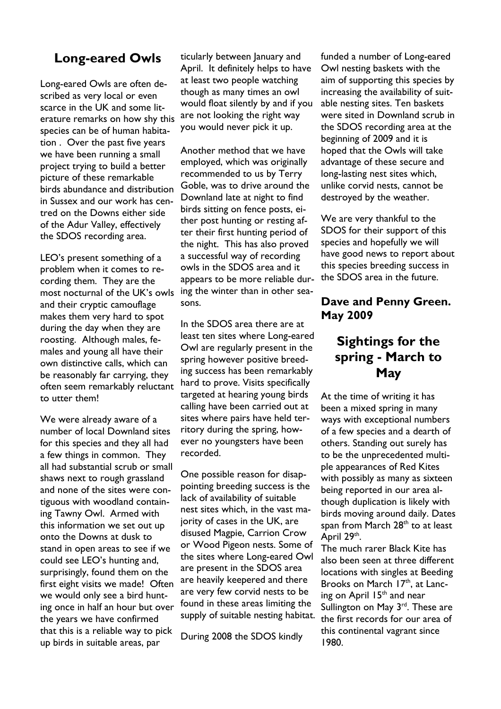## Long-eared Owls

Long-eared Owls are often described as very local or even scarce in the UK and some literature remarks on how shy this species can be of human habitation . Over the past five years we have been running a small project trying to build a better picture of these remarkable birds abundance and distribution in Sussex and our work has centred on the Downs either side of the Adur Valley, effectively the SDOS recording area.

LEO's present something of a problem when it comes to recording them. They are the most nocturnal of the UK's owls and their cryptic camouflage makes them very hard to spot during the day when they are roosting. Although males, females and young all have their own distinctive calls, which can be reasonably far carrying, they often seem remarkably reluctant to utter them!

We were already aware of a number of local Downland sites for this species and they all had a few things in common. They all had substantial scrub or small shaws next to rough grassland and none of the sites were contiguous with woodland containing Tawny Owl. Armed with this information we set out up onto the Downs at dusk to stand in open areas to see if we could see LEO's hunting and, surprisingly, found them on the first eight visits we made! Often we would only see a bird hunting once in half an hour but over the years we have confirmed that this is a reliable way to pick up birds in suitable areas, par

ticularly between January and April. It definitely helps to have at least two people watching though as many times an owl would float silently by and if you are not looking the right way you would never pick it up.

Another method that we have employed, which was originally recommended to us by Terry Goble, was to drive around the Downland late at night to find birds sitting on fence posts, either post hunting or resting after their first hunting period of the night. This has also proved a successful way of recording owls in the SDOS area and it appears to be more reliable during the winter than in other seasons.

In the SDOS area there are at least ten sites where Long-eared Owl are regularly present in the spring however positive breeding success has been remarkably hard to prove. Visits specifically targeted at hearing young birds calling have been carried out at sites where pairs have held territory during the spring, however no youngsters have been recorded.

One possible reason for disappointing breeding success is the lack of availability of suitable nest sites which, in the vast majority of cases in the UK, are disused Magpie, Carrion Crow or Wood Pigeon nests. Some of the sites where Long-eared Owl are present in the SDOS area are heavily keepered and there are very few corvid nests to be found in these areas limiting the supply of suitable nesting habitat.

During 2008 the SDOS kindly

funded a number of Long-eared Owl nesting baskets with the aim of supporting this species by increasing the availability of suitable nesting sites. Ten baskets were sited in Downland scrub in the SDOS recording area at the beginning of 2009 and it is hoped that the Owls will take advantage of these secure and long-lasting nest sites which, unlike corvid nests, cannot be destroyed by the weather.

We are very thankful to the SDOS for their support of this species and hopefully we will have good news to report about this species breeding success in the SDOS area in the future.

#### Dave and Penny Green. May 2009

## Sightings for the spring - March to **May**

At the time of writing it has been a mixed spring in many ways with exceptional numbers of a few species and a dearth of others. Standing out surely has to be the unprecedented multiple appearances of Red Kites with possibly as many as sixteen being reported in our area although duplication is likely with birds moving around daily. Dates span from March 28<sup>th</sup> to at least April 29<sup>th</sup>.

The much rarer Black Kite has also been seen at three different locations with singles at Beeding Brooks on March 17<sup>th</sup>, at Lancing on April 15<sup>th</sup> and near Sullington on May 3<sup>rd</sup>. These are the first records for our area of this continental vagrant since 1980.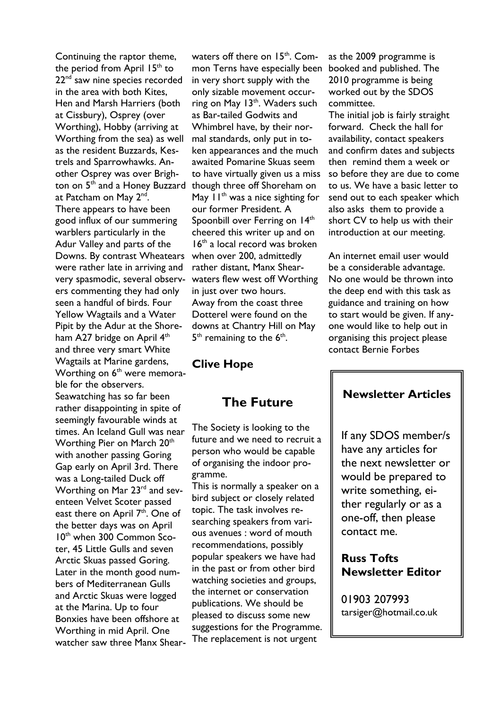Continuing the raptor theme, the period from April 15<sup>th</sup> to 22<sup>nd</sup> saw nine species recorded in the area with both Kites, Hen and Marsh Harriers (both at Cissbury), Osprey (over Worthing), Hobby (arriving at Worthing from the sea) as well as the resident Buzzards, Kestrels and Sparrowhawks. Another Osprey was over Brighton on 5<sup>th</sup> and a Honey Buzzard at Patcham on May 2<sup>nd</sup>. There appears to have been good influx of our summering warblers particularly in the Adur Valley and parts of the Downs. By contrast Wheatears were rather late in arriving and very spasmodic, several observers commenting they had only seen a handful of birds. Four Yellow Wagtails and a Water Pipit by the Adur at the Shoreham A27 bridge on April 4<sup>th</sup> and three very smart White Wagtails at Marine gardens, Worthing on  $6<sup>th</sup>$  were memorable for the observers. Seawatching has so far been rather disappointing in spite of seemingly favourable winds at times. An Iceland Gull was near Worthing Pier on March 20<sup>th</sup> with another passing Goring Gap early on April 3rd. There was a Long-tailed Duck off Worthing on Mar 23<sup>rd</sup> and seventeen Velvet Scoter passed east there on April 7<sup>th</sup>. One of the better days was on April 10<sup>th</sup> when 300 Common Scoter, 45 Little Gulls and seven Arctic Skuas passed Goring. Later in the month good numbers of Mediterranean Gulls and Arctic Skuas were logged at the Marina. Up to four Bonxies have been offshore at Worthing in mid April. One watcher saw three Manx Shear-

waters off there on  $15<sup>th</sup>$ . Common Terns have especially been in very short supply with the only sizable movement occurring on May 13<sup>th</sup>. Waders such as Bar-tailed Godwits and Whimbrel have, by their normal standards, only put in token appearances and the much awaited Pomarine Skuas seem to have virtually given us a miss though three off Shoreham on May  $11<sup>th</sup>$  was a nice sighting for our former President. A Spoonbill over Ferring on 14<sup>th</sup> cheered this writer up and on 16<sup>th</sup> a local record was broken when over 200, admittedly rather distant, Manx Shearwaters flew west off Worthing in just over two hours. Away from the coast three Dotterel were found on the downs at Chantry Hill on May  $5<sup>th</sup>$  remaining to the  $6<sup>th</sup>$ .

#### Clive Hope

## The Future

The Society is looking to the future and we need to recruit a person who would be capable of organising the indoor programme.

This is normally a speaker on a bird subject or closely related topic. The task involves researching speakers from various avenues : word of mouth recommendations, possibly popular speakers we have had in the past or from other bird watching societies and groups, the internet or conservation publications. We should be pleased to discuss some new suggestions for the Programme. The replacement is not urgent

as the 2009 programme is booked and published. The 2010 programme is being worked out by the SDOS committee.

The initial job is fairly straight forward. Check the hall for availability, contact speakers and confirm dates and subjects then remind them a week or so before they are due to come to us. We have a basic letter to send out to each speaker which also asks them to provide a short CV to help us with their introduction at our meeting.

An internet email user would be a considerable advantage. No one would be thrown into the deep end with this task as guidance and training on how to start would be given. If anyone would like to help out in organising this project please contact Bernie Forbes

#### Newsletter Articles

If any SDOS member/s have any articles for the next newsletter or would be prepared to write something, either regularly or as a one-off, then please contact me.

#### Russ Tofts Newsletter Editor

01903 207993 tarsiger@hotmail.co.uk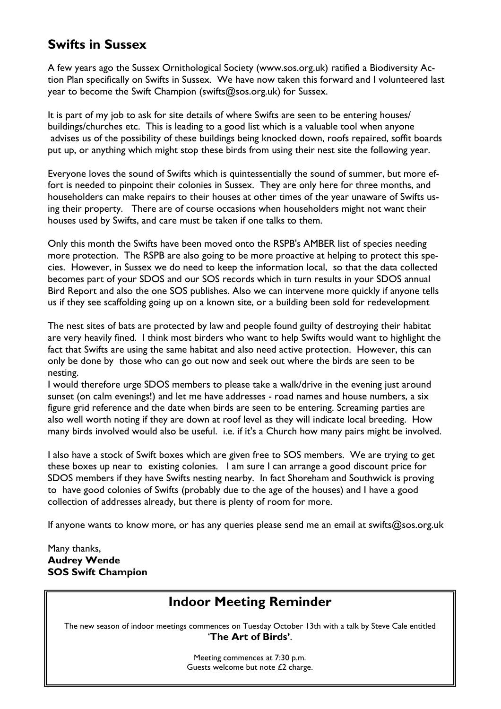## Swifts in Sussex

A few years ago the Sussex Ornithological Society (www.sos.org.uk) ratified a Biodiversity Action Plan specifically on Swifts in Sussex. We have now taken this forward and I volunteered last year to become the Swift Champion (swifts@sos.org.uk) for Sussex.

It is part of my job to ask for site details of where Swifts are seen to be entering houses/ buildings/churches etc. This is leading to a good list which is a valuable tool when anyone advises us of the possibility of these buildings being knocked down, roofs repaired, soffit boards put up, or anything which might stop these birds from using their nest site the following year.

Everyone loves the sound of Swifts which is quintessentially the sound of summer, but more effort is needed to pinpoint their colonies in Sussex. They are only here for three months, and householders can make repairs to their houses at other times of the year unaware of Swifts using their property. There are of course occasions when householders might not want their houses used by Swifts, and care must be taken if one talks to them.

Only this month the Swifts have been moved onto the RSPB's AMBER list of species needing more protection. The RSPB are also going to be more proactive at helping to protect this species. However, in Sussex we do need to keep the information local, so that the data collected becomes part of your SDOS and our SOS records which in turn results in your SDOS annual Bird Report and also the one SOS publishes. Also we can intervene more quickly if anyone tells us if they see scaffolding going up on a known site, or a building been sold for redevelopment

The nest sites of bats are protected by law and people found guilty of destroying their habitat are very heavily fined. I think most birders who want to help Swifts would want to highlight the fact that Swifts are using the same habitat and also need active protection. However, this can only be done by those who can go out now and seek out where the birds are seen to be nesting.

I would therefore urge SDOS members to please take a walk/drive in the evening just around sunset (on calm evenings!) and let me have addresses - road names and house numbers, a six figure grid reference and the date when birds are seen to be entering. Screaming parties are also well worth noting if they are down at roof level as they will indicate local breeding. How many birds involved would also be useful. i.e. if it's a Church how many pairs might be involved.

I also have a stock of Swift boxes which are given free to SOS members. We are trying to get these boxes up near to existing colonies. I am sure I can arrange a good discount price for SDOS members if they have Swifts nesting nearby. In fact Shoreham and Southwick is proving to have good colonies of Swifts (probably due to the age of the houses) and I have a good collection of addresses already, but there is plenty of room for more.

If anyone wants to know more, or has any queries please send me an email at swifts@sos.org.uk

Many thanks, Audrey Wende SOS Swift Champion

## Indoor Meeting Reminder

The new season of indoor meetings commences on Tuesday October 13th with a talk by Steve Cale entitled 'The Art of Birds'.

> Meeting commences at 7:30 p.m. Guests welcome but note £2 charge.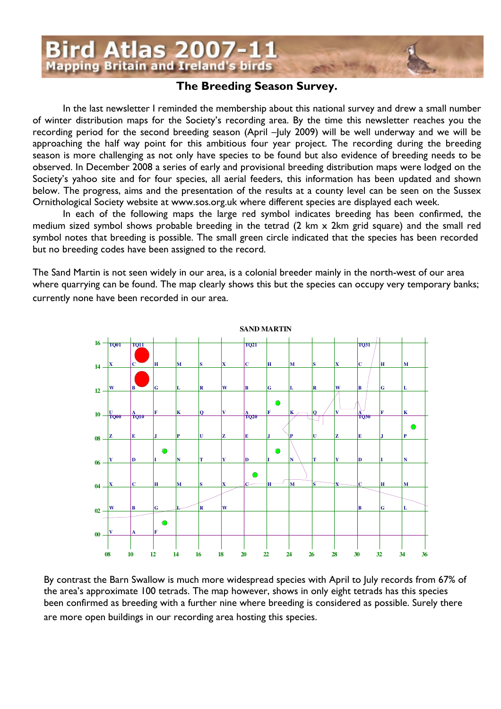

#### The Breeding Season Survey.

In the last newsletter I reminded the membership about this national survey and drew a small number of winter distribution maps for the Society's recording area. By the time this newsletter reaches you the recording period for the second breeding season (April –July 2009) will be well underway and we will be approaching the half way point for this ambitious four year project. The recording during the breeding season is more challenging as not only have species to be found but also evidence of breeding needs to be observed. In December 2008 a series of early and provisional breeding distribution maps were lodged on the Society's yahoo site and for four species, all aerial feeders, this information has been updated and shown below. The progress, aims and the presentation of the results at a county level can be seen on the Sussex Ornithological Society website at www.sos.org.uk where different species are displayed each week.

In each of the following maps the large red symbol indicates breeding has been confirmed, the medium sized symbol shows probable breeding in the tetrad (2 km x 2km grid square) and the small red symbol notes that breeding is possible. The small green circle indicated that the species has been recorded but no breeding codes have been assigned to the record.

The Sand Martin is not seen widely in our area, is a colonial breeder mainly in the north-west of our area where quarrying can be found. The map clearly shows this but the species can occupy very temporary banks; currently none have been recorded in our area.



By contrast the Barn Swallow is much more widespread species with April to July records from 67% of the area's approximate 100 tetrads. The map however, shows in only eight tetrads has this species been confirmed as breeding with a further nine where breeding is considered as possible. Surely there are more open buildings in our recording area hosting this species.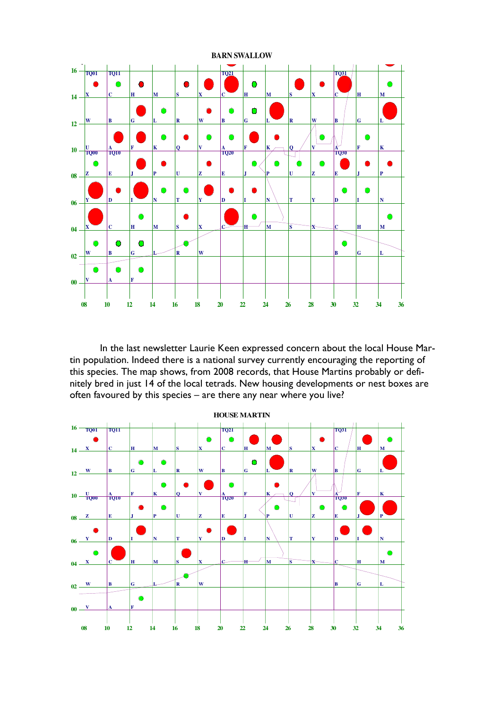

In the last newsletter Laurie Keen expressed concern about the local House Martin population. Indeed there is a national survey currently encouraging the reporting of this species. The map shows, from 2008 records, that House Martins probably or definitely bred in just 14 of the local tetrads. New housing developments or nest boxes are often favoured by this species – are there any near where you live?

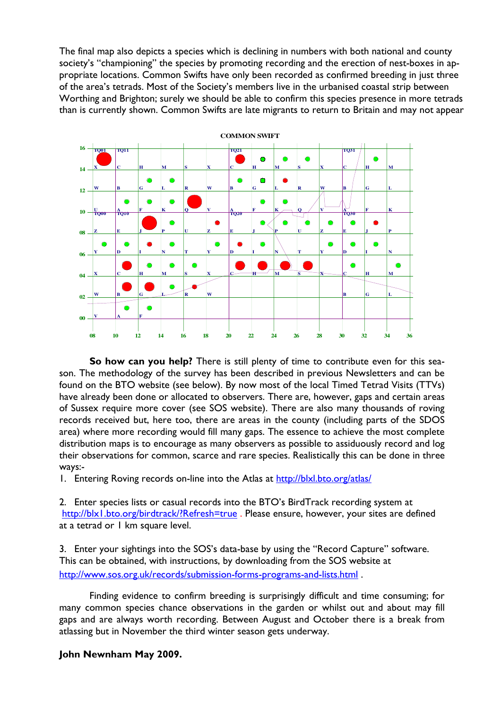The final map also depicts a species which is declining in numbers with both national and county society's "championing" the species by promoting recording and the erection of nest-boxes in appropriate locations. Common Swifts have only been recorded as confirmed breeding in just three of the area's tetrads. Most of the Society's members live in the urbanised coastal strip between Worthing and Brighton; surely we should be able to confirm this species presence in more tetrads than is currently shown. Common Swifts are late migrants to return to Britain and may not appear



So how can you help? There is still plenty of time to contribute even for this season. The methodology of the survey has been described in previous Newsletters and can be found on the BTO website (see below). By now most of the local Timed Tetrad Visits (TTVs) have already been done or allocated to observers. There are, however, gaps and certain areas of Sussex require more cover (see SOS website). There are also many thousands of roving records received but, here too, there are areas in the county (including parts of the SDOS area) where more recording would fill many gaps. The essence to achieve the most complete distribution maps is to encourage as many observers as possible to assiduously record and log their observations for common, scarce and rare species. Realistically this can be done in three ways:-

1. Entering Roving records on-line into the Atlas at http://blxl.bto.org/atlas/

2. Enter species lists or casual records into the BTO's BirdTrack recording system at http://blx1.bto.org/birdtrack/?Refresh=true . Please ensure, however, your sites are defined at a tetrad or 1 km square level.

3. Enter your sightings into the SOS's data-base by using the "Record Capture" software. This can be obtained, with instructions, by downloading from the SOS website at http://www.sos.org.uk/records/submission-forms-programs-and-lists.html .

Finding evidence to confirm breeding is surprisingly difficult and time consuming; for many common species chance observations in the garden or whilst out and about may fill gaps and are always worth recording. Between August and October there is a break from atlassing but in November the third winter season gets underway.

#### John Newnham May 2009.